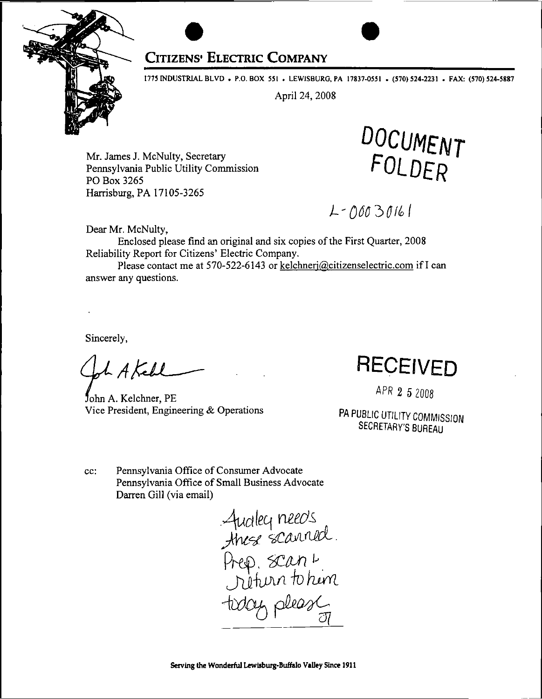

## **Citizens' Electric Company**

1775 INDUSTRIAL BLVD . P.O. BOX 551 . LEWISBURG, PA 17837-0551 . (570) 524-2231 . FAX: (570) 524-5887

April 24, 2008

Mr. James J. McNulty, Secretary Pennsylvania Public Utility Commission PO Box 3265 Harrisburg, PA 17105-3265

*document folder*

*J-'OMSdMl*

Dear Mr. McNulty,

Enclosed please find an original and six copies of the First Quarter, 2008 Reliability Report for Citizens' Electric Company.

Please contact me at 570-522-6143 or kelchnerj@citizenselectric.com if I can answer any questions.

Sincerely,

*'llAfcll*------

John A. Kelchner, PE Vice President, Engineering & Operations



4PR 2 5 2008

**PA PUBLIC UTILITV COMMISSION SECRETARY'S BUREAU**

cc: Pennsylvania Office of Consumer Advocate Pennsylvania Office of Small Business Advocate Darren Gill (via email)

*<u>Judey needs</u><br>Junese scanned</u><br>Prep. scan L<br>Juturn to him* today please

Serving the Wonderful Lewisburg-Buffalo Valley Since 1911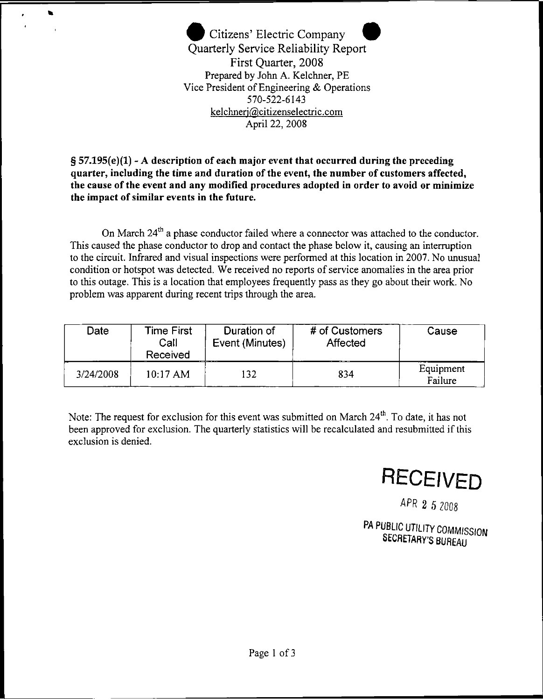**Citizens' Electric Company ^ Quarterly Service Reliability Report First Quarter, 2008** Prepared by John A. Kelchner, PE Vice President of Engineering & Operations 570-522-6143 kelchneri@citizenselectric.com April 22, 2008

 $\blacksquare$ 

**§ 57.195(e)(1) - A description of each major event that occurred during the preceding quarter, including the time and duration of the event, the number of customers affected, the cause of the event and any modifled procedures adopted in order to avoid or minimize the impact of similar events in the future.**

On March 24<sup>th</sup> a phase conductor failed where a connector was attached to the conductor. This caused the phase conductor to drop and contact the phase below it, causing an interruption to the circuit. Infrared and visual inspections were performed at this location in 2007. No unusual condition or hotspot was detected. We received no reports of service anomalies in the area prior to this outage. This is a location that employees frequently pass as they go about their work. No problem was apparent during recent trips through the area.

| Date      | Time First<br>Call<br>Received | Duration of<br>Event (Minutes)<br>____ | # of Customers<br>Affected<br>__ | Cause                |
|-----------|--------------------------------|----------------------------------------|----------------------------------|----------------------|
| 3/24/2008 | $10:17 \text{ AM}$             | 132                                    | 834                              | Equipment<br>Failure |

Note: The request for exclusion for this event was submitted on March 24<sup>th</sup>. To date, it has not been approved for exclusion. The quarterly statistics will be recalculated and resubmitted if this exclusion is denied.



**ApR 2** 5 2008

**PA PUBLIC UTILITY COMMISSION SECRETARY'S BUREAU**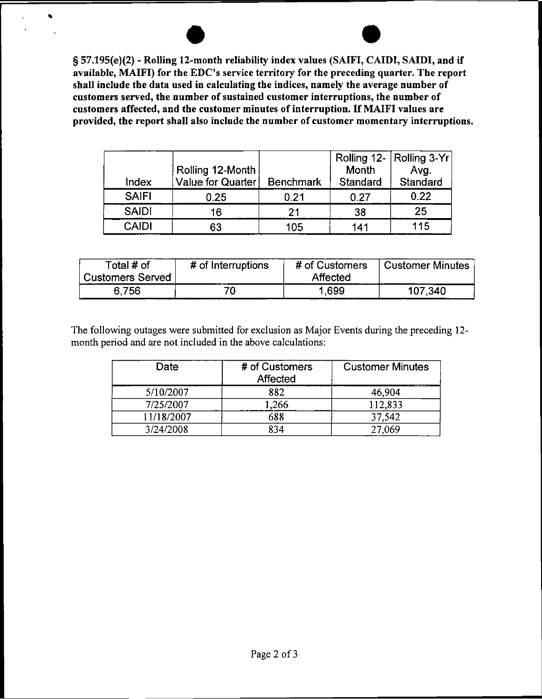**§ 57.195(e)(2) • Rolling 12-month reliability index values (SA1FI, CAIDI, SAIDI, and if available, MAIFI) for the EDC's service territory for the preceding quarter. The report shall include the data used in calculating the indices, namely the average number of customers served, the number of sustained customer interruptions, the number of customers affected, and the customer minutes of interruption. If MAIFI values are provided, the report shall also include the number of customer momentary interruptions.**

%

|              |                   |                  |          | Rolling 12- Rolling 3-Yr |
|--------------|-------------------|------------------|----------|--------------------------|
|              | Rolling 12-Month  |                  | Month    | Avg.                     |
| Index        | Value for Quarter | <b>Benchmark</b> | Standard | Standard                 |
| <b>SAIFI</b> | 0.25              | 0.21             | 0.27     | 0.22                     |
| <b>SAIDI</b> | 16                | 21               | 38       | 25                       |
| CAIDI        | 63                | 105              | 141      | 115                      |

| Total # of       | # of Interruptions | # of Customers | <b>Customer Minutes</b> |
|------------------|--------------------|----------------|-------------------------|
| Customers Served | -----              | Affected       |                         |
| 6.756            |                    | 1.699          | 107.340                 |

The following outages were submitted for exclusion as Major Events during the preceding 12 month period and are not included in the above calculations:

| Date       | # of Customers<br>Affected | <b>Customer Minutes</b> |
|------------|----------------------------|-------------------------|
| 5/10/2007  | 882                        | 46.904                  |
| 7/25/2007  | 1,266                      | 112,833                 |
| 11/18/2007 | 688                        | 37,542                  |
| 3/24/2008  | 834                        | 27,069                  |